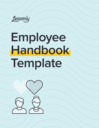Lessonly

# **Employee Handbook Template**

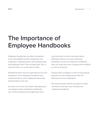## **The Importance of Employee Handbooks**

Employee handbooks are often considered to be unavoidable by both employees and employers. Employees don't like reading them and employers don't like writing them. But, it must be done; so, we are here to help.

Handbooks don't just set expectations for your employees. Your employee handbook also communicates to your employees what they should expect from you.

As much as we love our teams, discrepancies can happen easily, employee handbooks can clarify anything that might have been

misconstrued in other communication. Although there are no laws requiring employers to have an employee handbook, they can help save your company from liability in case of a lawsuit.

Clauses like an employ-at-will or drug testing policies in your handbook provide full disclosure to your employees.

The next sections will be an outline of what we think is the best way to build your employee handbook.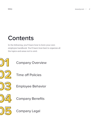## **Contents**

In the following, you'll learn how to form your own employee handbook. You'll learn how best to organize all the topics and areas not to omit.



Company Overview



Time off Policies



Employee Behavior



Company Benefits



Company Legal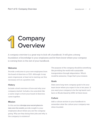## **1 Company Overview**

A company overview is a great way to kick off a handbook. It will give a strong foundation of knowledge to your employees and let them know where your company is coming from in the rest of your handbook.

#### **Welcome**

Provide a welcome to your new employees from the board of directors or CEO. Although it may seem impersonal, at least we're starting out this necessary evil on a positive note.

#### **History**

Include a brief overview of how and why your company started. Include a fun anecdote like a name origin or how your board of directors came together.

#### **Mission**

In this section divulge your secret plans to take over the world. provide insight to your employees about where you see the company going. Why are they doing their jobs and why is the company in existence?

The purpose of the company should be something like providing the world with sustainable transportation through teleportation. Which would be awesome, I hope that's your mission.

#### **Goals**

State some long-term company goals to let your team know where you expect to be in ten years. If you want your company to be the top barrel cacti farm in Rhode Island by 2050, let them know.

#### **Culture**

Add a culture section to your handbook to remember what the culture your company was when founded.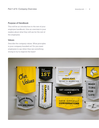#### **Purpose of Handbook**

This will be an introduction to the rest of your employee handbook. Give an overview to your readers about what they will see for the rest of the employees.

#### **Values**

Describe the company values. What principles is your company founded on? Do you want employees to say when they see something wrong to try to improve the team?

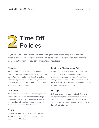

If you've established a great company with great employees, they might not want to leave. But if they do, don't worry, they'll come back. Be sure to include your leave policies in the next section of your employee handbook.

#### **Vacation**

What is your company's vacation policy? Do you have 0 days or do you have 30? Use this section to spell out your policy and classify whether vacation is paid or unpaid. You likely went over this with your new hires in their offer, but this will give them a reference.

#### **Sick Leave**

Your employees shouldn't be coughing all over their desks. Let Them know how many days they have for their immune system to fail. Also, let them know if you just want them to work from home whenever they feel toxic.

#### **Voting**

States have their own laws about voting. Add your operating states' or state's laws to your handbook just to clarify.

#### **Family and Medical Leave Act**

Commonly referred to as FMLA, this is a law. This section in your handbook will be a quick reference for your employees to know how many weeks they are legally allowed off for the birth of a child or serious health conditions. Also includes family emergencies.

#### **Holidays**

Let your employees know which holidays to start planning their family vacations around. Sure, there may be some pleasant surprise vacation days at some companies, but let them know the initial plan.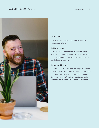

#### **Jury Duty**

Also a law. Employees are entitled to time off to serve on a jury.

#### **Military Leave**

We hope that we won't see another military draft in our lifetimes.If we don't, even active or inactive services in the National Guard qualify for full pay while away.

#### **Leave of Absence**

A leave of absence is where an employee leaves the company for a certain amount of time while maintaining employment status. This usually happens for exceptional circumstances so be sure to list a few and offer a contact for others.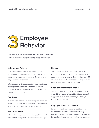

We love our employees and you likely love yours. Let's give some guidelines to keep it that way.

#### **Attendance Policies**

Clarify the expectations of your employee attendance. If you expect them to be at every quarterly announcement and in the office every day, say it in this section.

Also include in this section, how you want your employees to communicate their absences. Choose to either require an email or leave it up to manager preference.

#### **Tardiness**

If tardiness is an issue in your company, address it here. If employees are expected to be at their desk when their schedule begins, use this section.

#### **Insubordination**

This section would talk about write-up's through HR or customer complaints. List reasons for write-ups.

#### **Breaks**

Your employees likely will need a break from their desks. Tell them what they're allowed to take, or even leave it up to them. If they have 30 minutes, put it in the handbook. If they have as long as they need, omit the section.

#### **Code of Professional Conduct**

Tell your employees how you expect them to act even if it is outside of the office. If they are not supposed to go out in company uniform, tell them in this section.

#### **Employee Health and Safety**

Employee health and safety should be your number one priority. Describe the safety precautions your company takes in this step and how to handle someone not following protocol.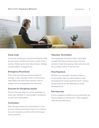

#### **Dress Code**

If you don't think gray, stained sweatpants really fit your bank's professional level, clarify in this section. Makes some rules about shorts, holiday animal antlers, or singing ties.

#### **Emergency Procedures**

If you have procedures during a break-in, tornado, or fire, describe them in this section. They likely will seem fairly obvious, but it's always nice to be prepared and informed.

#### **Grounds for Disciplinary Action**

Discuss the next steps at certain quantities of write-up's whether it is termination, probation, or even just a discussion.

#### **Termination**

State the procedures for termination in this section. Discuss severance pay if it is offered by your company as well as the technology return policies.

#### **Voluntary Termination**

If an employee chooses to leave, they likely wouldn't get their severance pay. Use this section to state that among other policies such as a 2-weeks notice in this section.

#### **Final Paycheck**

Whether an employee chooses to leave or is terminated, they are still entitled to their final paycheck if they work the hours. Outline the procedures for the deliverance of the final paycheck.

#### **Exit Interview**

If your company conducts an exit interview, list the procedures in this section. What happens after the exit interview?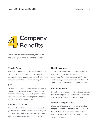## **4 Company Benefits**

Make sure all of your employees are on the same page with a benefits section.

#### **Vehicle Policy**

Perhaps your company is fortunate enough to give cars to traveling salesmen or employees on-the-road for whatever reason. In this section, detail the procedures of your vehicle policy.

#### **Pay**

This section should include the pay process of salary or commission. If your employees are getting paid weekly or bi-weekly, include it in this section. Also include the process whether it is direct deposit or mailed checks.

#### **Company Discounts**

If you work in retail, you likely have discounts on your stores or related stores for your employees. You may even have discounts from customers. Use the handbook to put them in the know.

#### **Health Insurance**

This section should be a reference of health insurance companies. You don't need to state every plan that the company offers and continuously update it, but just a contact at the appropriate company for the right insurance.

#### **Retirement Plans**

Describe your company's 401k or IRA contribution levels and programs in this section. If you offer company stock, also include it in this section.

#### **Worker's Compensation**

Also a law, if your employees get injured on the job, they should get paid. Put that in this section as another legal reference. If your company offers disability coverage, let your employees know.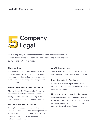

This is arguably the most important section of your handbook. It includes sections that define your handbook for what it is and ensures the rest of it is valid.

#### **Not a contract**

You need to state that the handbook is not a contract. It does not guarantee employment for any amount of time and employment can be terminated at any time by either party within legal requirements.

#### **Handbook trumps previous documents**

The handbook should supersede all previous documents. It will likely need to be updated. Your policies back in 1957 are going to be obsolete when it comes to company laptops.

#### **Policies are subject to change**

If you plan on updating policies, which you should, you need to disclose that the policies are subject to change. It may seem shady to your employees, but they can't reasonably expect policies to last forever.

#### **At-Will Employment**

State that employment at your company is atwill and not guaranteed for any amount of time.

#### **Equal Opportunity Employment**

Be sure to include an equal opportunity section to state that your business is an equal opportunity employer.

#### **Non-Harassment / Non-Discrimination**

If your company doesn't discriminate in the hiring, promoting, and firing processes, which is illegal if it does, include a non-harassment and non-discrimination clause.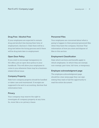#### **Drug Free / Alcohol Free**

If your employees are expected to remain drug and alcohol-free during their time of employment, disclose it. State there will be a drug test before the hiring process and if there will be drug tests later in employment.

#### **Open Door Policy**

If you wish to encourage transparency in the office, put an open door policy in your handbook. This will allow your employees to come to you whenever there may be a businessrelated ethical issue.

#### **Company Property**

State how company property should be handled or taken care and maintained. If receipts are supposed to be sent to accounting, disclose that information here.

#### **Privacy**

Your company may reserve the right to investigate all company property at any time. So, more like a no-privacy clause.

#### **Personnel Files**

Your employees are concerned about what is going to happen to their personal personnel files when they leave the company. Disclose That information of how you store and dispose of files in this section.

#### **Employment Classification**

State which sections and benefits apply to which employees. In which they are exempt, non-exempt, part-time, full-time, or temporary.

#### **Employee acknowledgment page**

The employee acknowledgment page should be a tear-away page they can sign stating they read or had the opportunity to read the entire document.